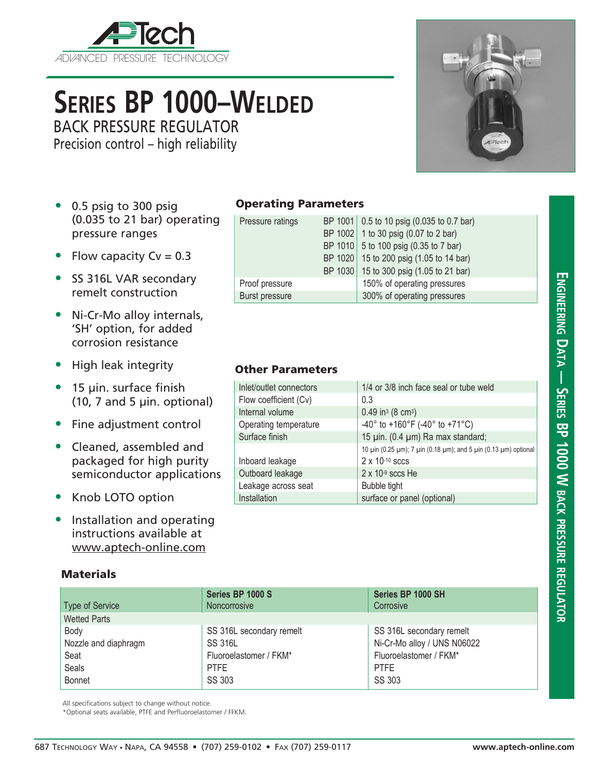

# **Series BP 1000–Welded**

BACK PRESSURE REGULATOR

Precision control – high reliability



- 0.5 psig to 300 psig (0.035 to 21 bar) operating pressure ranges
- Flow capacity  $Cv = 0.3$
- SS 316L VAR secondary remelt construction
- Ni-Cr-Mo alloy internals, 'SH' option, for added corrosion resistance
- High leak integrity
- 15 µin. surface finish  $(10, 7, 7)$  and 5  $\mu$ in. optional)
- Fine adjustment control
- Cleaned, assembled and packaged for high purity semiconductor applications
- Knob LOTO option
- Installation and operating instructions available at www.aptech-online.com

### **Materials**

### Operating Parameters

| Pressure ratings |  | BP 1001 0.5 to 10 psig (0.035 to 0.7 bar) |  |
|------------------|--|-------------------------------------------|--|
|                  |  | BP 1002 1 to 30 psig (0.07 to 2 bar)      |  |
|                  |  | BP 1010 5 to 100 psig (0.35 to 7 bar)     |  |
|                  |  | BP 1020 15 to 200 psig (1.05 to 14 bar)   |  |
|                  |  | BP 1030 15 to 300 psig (1.05 to 21 bar)   |  |
| Proof pressure   |  | 150% of operating pressures               |  |
| Burst pressure   |  | 300% of operating pressures               |  |

### Other Parameters

| Inlet/outlet connectors | 1/4 or 3/8 inch face seal or tube weld                          |
|-------------------------|-----------------------------------------------------------------|
| Flow coefficient (Cv)   | 0.3                                                             |
| Internal volume         | $0.49$ in <sup>3</sup> (8 cm <sup>3</sup> )                     |
| Operating temperature   | -40° to +160°F (-40° to +71°C)                                  |
| Surface finish          | 15 µin. (0.4 µm) Ra max standard;                               |
|                         | 10 μin (0.25 μm); 7 μin (0.18 μm); and 5 μin (0.13 μm) optional |
| Inboard leakage         | $2 \times 10^{-10}$ sccs                                        |
| Outboard leakage        | $2 \times 10^{-9}$ sccs He                                      |
| Leakage across seat     | Bubble tight                                                    |
| Installation            | surface or panel (optional)                                     |

| <b>Type of Service</b> | Series BP 1000 S<br>Noncorrosive | Series BP 1000 SH<br>Corrosive |  |
|------------------------|----------------------------------|--------------------------------|--|
| <b>Wetted Parts</b>    |                                  |                                |  |
| Body                   | SS 316L secondary remelt         | SS 316L secondary remelt       |  |
| Nozzle and diaphragm   | <b>SS 316L</b>                   | Ni-Cr-Mo alloy / UNS N06022    |  |
| Seat                   | Fluoroelastomer / FKM*           | Fluoroelastomer / FKM*         |  |
| Seals                  | <b>PTFE</b>                      | <b>PTFE</b>                    |  |
| Bonnet                 | SS 303                           | SS 303                         |  |

All specifications subject to change without notice.

\*Optional seats available, PTFE and Perfluoroelastomer / FFKM.